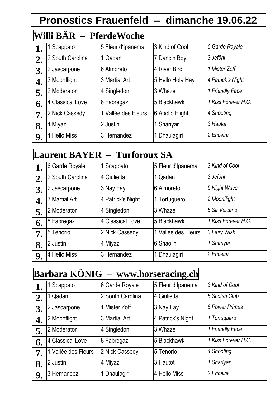## **Pronostics Frauenfeld – dimanche 19.06.22**

| Willi BAR | <b>PferdeWoche</b> |
|-----------|--------------------|

| 1. | 1 Scappato       | 5 Fleur d'Ipanema   | 3 Kind of Cool   | 6 Garde Royale      |  |
|----|------------------|---------------------|------------------|---------------------|--|
| 2. | 2 South Carolina | 1 Qadan             | 7 Dancin Boy     | 3 Jeföhl            |  |
| 3. | 2 Jascarpone     | 6 Almoreto          | 4 River Bird     | 1 Mister Zoff       |  |
| 4. | 2 Moonflight     | 3 Martial Art       | 5 Hello Hola Hay | 4 Patrick's Night   |  |
| 5. | 2 Moderator      | 4 Singledon         | 3 Whaze          | 1 Friendly Face     |  |
| 6. | 4 Classical Love | 8 Fabregaz          | 5 Blackhawk      | 1 Kiss Forever H.C. |  |
| 7. | 2 Nick Cassedy   | 1 Vallée des Fleurs | 6 Apollo Flight  | 4 Shooting          |  |
| 8. | 4 Miyaz          | 2 Justin            | 1 Shariyar       | 3 Hautot            |  |
| 9. | 4 Hello Miss     | 3 Hernandez         | 1 Dhaulagiri     | 2 Ericeira          |  |

#### **Laurent BAYER – Turforoux SA**

|    | 6 Garde Royale   | 1 Scappato        | 5 Fleur d'Ipanema   | 3 Kind of Cool      |  |
|----|------------------|-------------------|---------------------|---------------------|--|
| 2. | 2 South Carolina | 4 Giulietta       | 1 Qadan             | 3 Jeföhl            |  |
| 3. | 2 Jascarpone     | 3 Nay Fay         | 6 Almoreto          | 5 Night Wave        |  |
| 4. | 3 Martial Art    | 4 Patrick's Night | 1 Tortuguero        | 2 Moonflight        |  |
| 5. | 2 Moderator      | 4 Singledon       | 3 Whaze             | 5 Sir Vulcano       |  |
| 6. | 8 Fabregaz       | 4 Classical Love  | 5 Blackhawk         | 1 Kiss Forever H.C. |  |
| 7. | 5 Tenorio        | 2 Nick Cassedy    | 1 Vallee des Fleurs | 3 Fairy Wish        |  |
| 8. | 2 Justin         | 4 Miyaz           | 6 Shaolin           | 1 Shariyar          |  |
| 9. | 4 Hello Miss     | 3 Hernandez       | 1 Dhaulagiri        | 2 Ericeira          |  |

#### **Barbara KÖNIG – www.horseracing.ch**

|    | Scappato            | 6 Garde Royale   | 5 Fleur d'Ipanema | 3 Kind of Cool      |
|----|---------------------|------------------|-------------------|---------------------|
| 2. | 1 Qadan             | 2 South Carolina | 4 Giulietta       | 5 Scotsh Club       |
| 3. | 2 Jascarpone        | 1 Mister Zoff    | 3 Nay Fay         | 8 Power Primus      |
| 4. | 2 Moonflight        | 3 Martial Art    | 4 Patrick's Night | 1 Tortuguero        |
| 5. | 2 Moderator         | 4 Singledon      | 3 Whaze           | 1 Friendly Face     |
| 6. | 4 Classical Love    | 8 Fabregaz       | 5 Blackhawk       | 1 Kiss Forever H.C. |
| 7. | 1 Vallée des Fleurs | 2 Nick Cassedy   | 5 Tenorio         | 4 Shooting          |
| 8. | 2 Justin            | 4 Miyaz          | 3 Hautot          | 1 Shariyar          |
| 9. | 3 Hernandez         | 1 Dhaulagiri     | 4 Hello Miss      | 2 Ericeira          |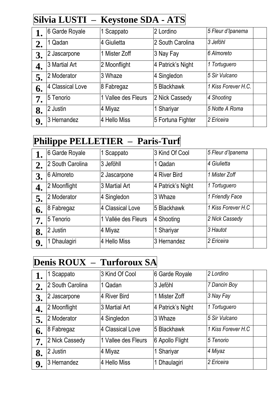### **Silvia LUSTI – Keystone SDA - ATS**

|    | 6 Garde Royale   | 1 Scappato          | 2 Lordino         | 5 Fleur d'Ipanema   |
|----|------------------|---------------------|-------------------|---------------------|
| 2. | 1 Qadan          | 4 Giulietta         | 2 South Carolina  | 3 Jeföhl            |
| 3. | 2 Jascarpone     | 1 Mister Zoff       | 3 Nay Fay         | 6 Almoreto          |
| 4. | 3 Martial Art    | 2 Moonflight        | 4 Patrick's Night | 1 Tortuguero        |
| 5. | 2 Moderator      | 3 Whaze             | 4 Singledon       | 5 Sir Vulcano       |
| 6. | 4 Classical Love | 8 Fabregaz          | 5 Blackhawk       | 1 Kiss Forever H.C. |
| 7. | 5 Tenorio        | 1 Vallee des Fleurs | 2 Nick Cassedy    | 4 Shooting          |
| 8. | 2 Justin         | 4 Miyaz             | 1 Shariyar        | 5 Notte A Roma      |
| 9. | 3 Hernandez      | 4 Hello Miss        | 5 Fortuna Fighter | 2 Ericeira          |

#### **Philippe PELLETIER – Paris-Turf**

|    | 6 Garde Royale   | 1 Scappato          | 3 Kind Of Cool    | 5 Fleur d'Ipanema  |
|----|------------------|---------------------|-------------------|--------------------|
| 2. | 2 South Carolina | 3 Jeföhll           | 1 Qadan           | 4 Giulietta        |
| 3. | 6 Almoreto       | 2 Jascarpone        | 4 River Bird      | 1 Mister Zoff      |
| 4. | 2 Moonflight     | 3 Martial Art       | 4 Patrick's Night | 1 Tortuguero       |
| 5. | 2 Moderator      | 4 Singledon         | 3 Whaze           | 1 Friendly Face    |
| 6. | 8 Fabregaz       | 4 Classical Love    | 5 Blackhawk       | 1 Kiss Forever H.C |
| 7. | 5 Tenorio        | 1 Vallée des Fleurs | 4 Shooting        | 2 Nick Cassedy     |
| 8. | 2 Justin         | 4 Miyaz             | 1 Shariyar        | 3 Hautot           |
| 9. | Dhaulagiri       | 4 Hello Miss        | 3 Hernandez       | 2 Ericeira         |

# **Denis ROUX – Turforoux SA**

|    | Scappato         | 3 Kind Of Cool      | 6 Garde Royale    | 2 Lordino          |  |
|----|------------------|---------------------|-------------------|--------------------|--|
| 2. | 2 South Carolina | 1 Qadan             | 3 Jeföhl          | 7 Dancin Boy       |  |
| 3. | 2 Jascarpone     | 4 River Bird        | 1 Mister Zoff     | 3 Nay Fay          |  |
| 4. | 2 Moonflight     | 3 Martial Art       | 4 Patrick's Night | 1 Tortuguero       |  |
| 5. | 2 Moderator      | 4 Singledon         | 3 Whaze           | 5 Sir Vulcano      |  |
| 6. | 8 Fabregaz       | 4 Classical Love    | 5 Blackhawk       | 1 Kiss Forever H.C |  |
| 7. | 2 Nick Cassedy   | 1 Vallee des Fleurs | 6 Apollo Flight   | 5 Tenorio          |  |
| 8. | 2 Justin         | 4 Miyaz             | 1 Shariyar        | 4 Miyaz            |  |
| 9. | 3 Hernandez      | 4 Hello Miss        | 1 Dhaulagiri      | 2 Ericeira         |  |